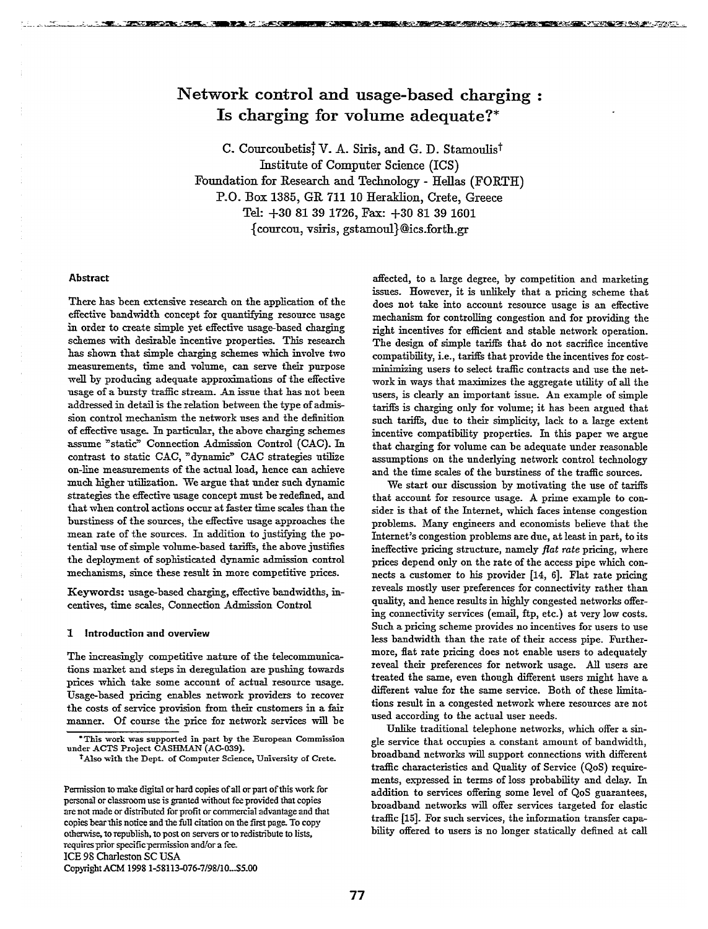# Network control and usage-based charging: Is charging for volume adequate?\*

C. Courcoubetis, V. A. Siris, and G. D. Stamoulis<sup>†</sup> Institute of Computer Science (ICS) Foundation for Research and Technology - Hellas (FORTH) P.O. Box 1385, GR 711 10 Heraklion, Crete, Greece Tel: +30 81 39 1726, Fax: +30 81 39 1601 {courcou, vsiris, gstamoul}@ics.forth.gr

#### **Abstract**

**STATE OF BRIDE CARDS** 

 $\sim$  - where  $\sim$ 

. an canta

There has been extensive research on the application of the effective bandwidth concept for quantifying resource usage in order to create simple yet effective usage-based charging schemes with desirable incentive properties. This research has shown that simple charging schemes which involve two measurements, time and volume, can serve their purpose well by producing adequate approximations of the effective usage of a bursty traffic stream. An issue that has not been addressed in detail is the relation between the type of admission control mechanism the network uses and the definition of effective usage. In particular, the above charging schemes assume "static" Connection Admission Control (CAC). In contrast to static CAC, "dynamic" CAC strategies utilize on-line measurements of the actual load, hence can achieve much higher utilization. We argue that under such dynamic strategies the effective usage concept must be redefined, and that when control actions occur at faster time scales than the burstiness of the sources, the effective usage approaches the mean rate of the sources. In addition to justifying the potential use of simple volume-based tariffs, the above justifies the deployment of sophisticated dynamic admission control mechanisms, since these result in more competitive prices.

Keywords: usage-based charging, effective bandwidths, incentives, time scales, Connection Admission Control

### 1 Introduction and overview

The increasingly competitive nature of the telecommunications market and steps in deregulation are pushing towards prices which take some account of actual resource usage. Usage-based pricing enables network providers to recover the costs of service provision from their customers in a fair manner. Of course the price for network services will be

ICE 98 Charleston SC USA

Copyright ACM 1998 1-58113-076-7/98/10...\$5.00

affected, to a large degree, by competition and marketing issues. However, it is unlikely that a pricing scheme that does not take into account resource usage is an effective mechanism for controlling congestion and for providing the right incentives for efficient and stable network operation. The design of simple tariffs that do not sacrifice incentive compatibility, i.e., tariffs that provide the incentives for costminimizing users to select traffic contracts and use the network in ways that maximizes the aggregate utility of all the users, is clearly an important issue. An example of simple tariffs is charging only for volume; it has been argued that such tariffs, due to their simplicity, lack to a large extent incentive compatibility properties. In this paper we argue that charging for volume can be adequate under reasonable assumptions on the underlying network control technology and the time scales of the burstiness of the traffic sources.

**的复数人名英格兰人姓氏卡尔德住所名称来源于古英语含义是一种人名英格兰人姓氏尼尔的变体** 

We start our discussion by motivating the use of tariffs that account for resource usage. A prime example to consider is that of the Internet, which faces intense congestion problems. Many engineers and economists believe that the Internet's congestion problems are due, at least in part, to its ineffective pricing structure, namely flat rate pricing, where prices depend only on the rate of the access pipe which connects a customer to his provider [14, 6]. Flat rate pricing reveals mostly user preferences for connectivity rather than quality, and hence results in highly congested networks offering connectivity services (email, ftp, etc.) at very low costs. Such a pricing scheme provides no incentives for users to use less bandwidth than the rate of their access pipe. Furthermore, flat rate pricing does not enable users to adequately reveal their preferences for network usage. All users are treated the same, even though different users might have a different value for the same service. Both of these limitations result in a congested network where resources are not used according to the actual user needs.

Unlike traditional telephone networks, which offer a single service that occupies a constant amount of bandwidth, broadband networks will support connections with different traffic characteristics and Quality of Service (QoS) requirements, expressed in terms of loss probability and delay. In addition to services offering some level of QoS guarantees, broadband networks will offer services targeted for elastic traffic [15]. For such services, the information transfer capability offered to users is no longer statically defined at call

This work was supported in part by the European Commission under ACTS Project CASHMAN (AC-039).

<sup>&</sup>lt;sup>†</sup>Also with the Dept. of Computer Science, University of Crete.

Permission to make digital or hard copies of all or part of this work for personal or classroom use is granted without fee provided that copies are not made or distributed for profit or commercial advantage and that copies bear this notice and the full citation on the first page. To copy otherwise, to republish, to post on servers or to redistribute to lists, requires prior specific permission and/or a fee.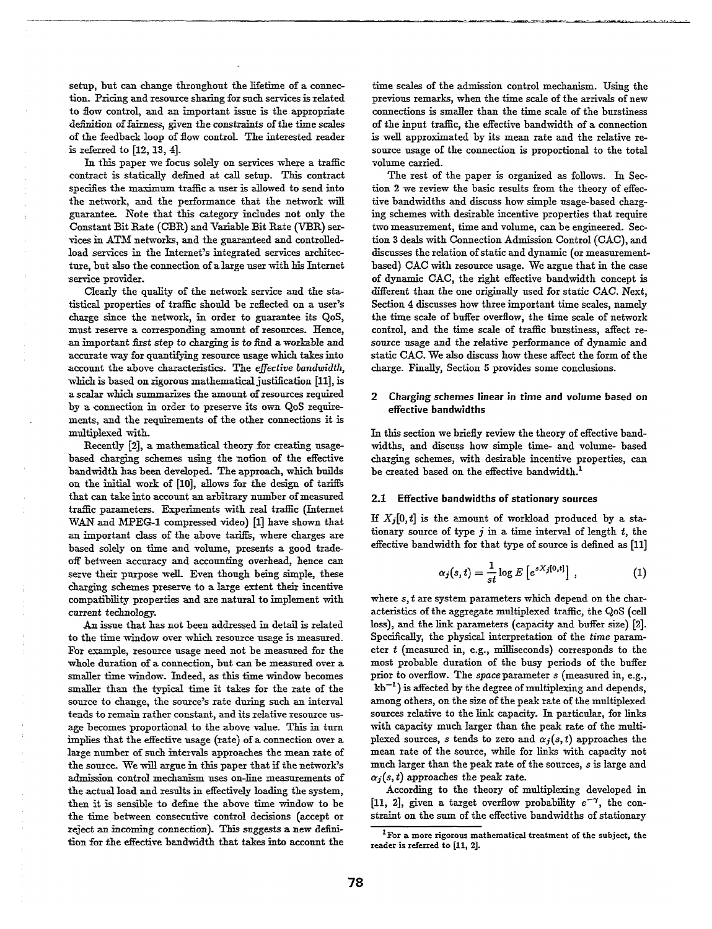setup, but can change throughout the lifetime of a connection. Pricing and resource sharing for such services is related to flow control, and an important issue is the appropriate definition of fairness, given the constraints of the time scales of the feedback loop of flow control- 'The interested reader is referred to  $[12, 13, 4]$ .

In this paper we focus solely on services where a traffic contract is statically defined at call setup. This contract specifies the maximum traffic a user is allowed to send into the network, and the performance that the network will guarantee\_ Note that this category includes not only the Constant Bit Rate (CBR) and Variable Bit Rate (VBR) services in ATM networks, and the guaranteed and controlledload services in the Internet's integrated services architecture, but also the connection of a large user with his Internet service provider.

Clearly the quality of the network service and the statistical properties of traffic should be reflected on a user's charge since the network, in order to guarantee its QoS, must reserve a corresponding amount of resources. Hence, an important first step to charging is to find a workable and accurate way for quantifying resource usage which takes into account the above characteristics. The effective bandwidth, which is based on rigorous mathematical justification [II], is a scalar which summarizes the amount of resources required by a connection in order to preserve its own QoS require ments, and the requirements of the other connections it is multiplexed with.

Recently [2], a mathematical theory for creating usagebased charging schemes using the notion of the effective bandwidth has been developed. The approach, which builds on the initial work of [10], allows for the design of tariffs that can take into account an arbitrary number of measured traffic parameters. Experiments with real traffic (Internet  $\text{WAN}$  and  $\text{MPEG-1}$  compressed video) [1] have shown that an important class of the above tariffs, where charges are based solely on time and volume, presents a good tradeoff between accuracy and accounting overhead, hence can serve their purpose well. Even though being simple, these charging schemes preserve to a large extent their incentive compatibility properties and are natural to implement with current *technology.*

*An issue* that has not been addressed in detail is related to the time window over which resource usage is measured. For esample, resource usage need not be measured for the whole duration of a connection, but can be measured over a smaller time window. Indeed, as this time window becomes smaller than the typical time it takes for the rate of the source to change, the source's rate during such an interval tends to remain rather constant, and its relative resource usage becomes proportional to the above value. This in turn implies that the effective usage (rate) of a connection over a large number of such intervals approaches the mean rate of the source. We will argue in this paper that if the network's admission control mechanism uses on-line measurements of the actual load and results in effectively loading the system, then it is sensible to define the above time window to be the time between consecutive control decisions (accept or reject an incoming connection). This suggests a new definition for the effective bandwidth that takes into account the

time scales of the admission control mechanism. Using the previous remarks, when the time scale of the arrivals of new connections is smaller than the time scale of the burstiness of the input traffic, the effective bandwidth of a connection is well approximated by its mean rate and the relative resource usage of the connection is proportional to the total volume carried.

The rest of the paper is organized as follows. In Section 2 we review the basic results from the theory of effective bandwidths and discuss how simple usage-based charging schemes with desirable incentive properties that require two measurement, time and volume, can be engineered. Section 3 deals with Connection Adruission Control (GAG), and discusses the relation of static and dynamic (or measurementbased) CAC with resource usage. We argue that in the case of dynamic GAG, the right effective bandwidth concept is different than the one originally used for static CAC. Next, Section 4 discusses how three important time scales, namely the time scale of buffer overflow, the time scale of network control, and the time scale of traffic burstiness, affect resource *usage* amd the relative performance of dynamic and static CAC. We also discuss how these affect the form of the charge. Finally, Section 5 provides some conclusions.

# 2 Charging schemes linear in time and volume based on effective bandwidths

In this section we briefly review the theory of effective bandwidths, and discuss how simple time- and volume- based charging schemes, with desirable incentive properties, can be created based on the effective bandwidth.<sup>1</sup>

# 2.1 Effective bandwidths of stationary sources

If  $X_i[0, t]$  is the amount of workload produced by a stationary source of type  $j$  in a time interval of length  $t$ , the effective bandwidth for that type of source is defined as [11]

$$
\alpha_j(s,t) = \frac{1}{st} \log E\left[e^{sX_j[0,t]}\right],\tag{1}
$$

where  $s, t$  are system parameters which depend on the characteristics of the aggregate multiplexed traffic, the QoS (cell loss), and the link parameters (capacity and buffer size) [2]. Specifically, the physical interpretation of the *time* parameter  $t$  (measured in, e.g., milliseconds) corresponds to the most probable duration of the busy periods of the buffer prior to ovefiow. The space parameter s (measured in, e.g.,  $kb^{-1}$ ) is affected by the degree of multiplexing and depends, among others, on the size of the peak rate of the multiplexed sources relative to the link capacity. In particular, for links with capacity much larger than the peak rate of the multiplexed sources, s tends to zero and  $\alpha_j(s, t)$  approaches the mean rate of the source, while for links with capacity not much larger than the peak rate of the sources, s is large and  $\alpha_i(s, t)$  approaches the peak rate.

According to the theory of multiplexing developed in [11, 2], given a target overflow probability  $e^{-\gamma}$ , the constraint on the sum of the effective bandwidths of stationary

 $1$  For a more rigorous mathematical treatment of the subject, the reader is referred to [11, 2].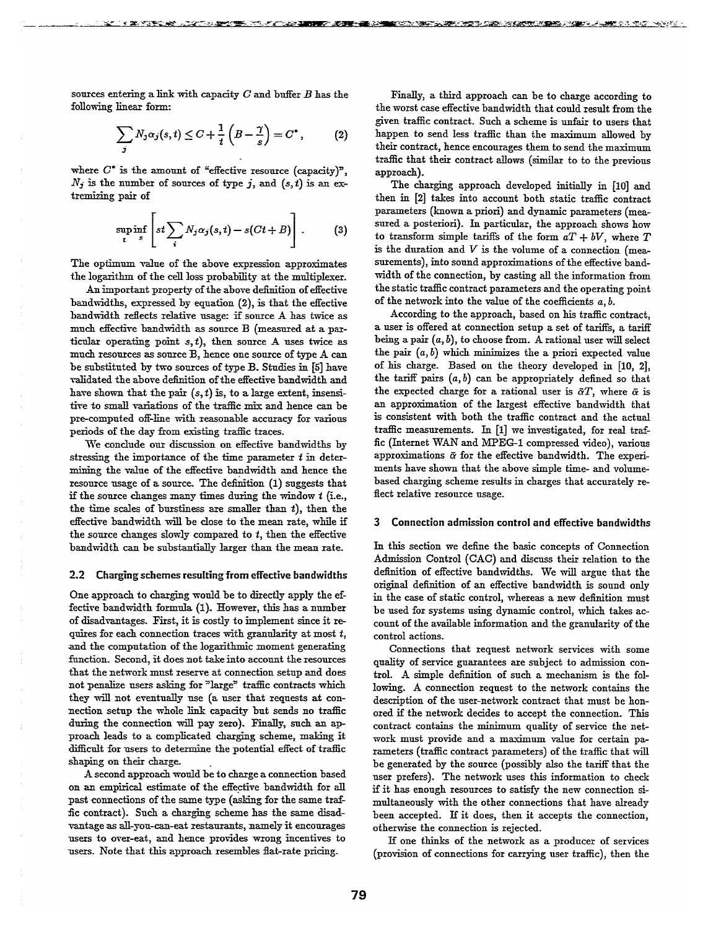sources entering a link with capacity  $C$  and buffer  $B$  has the following linear form:

$$
\sum_{j} N_{j} \alpha_{j}(s,t) \leq C + \frac{1}{t} \left( B - \frac{\gamma}{s} \right) = C^{*}, \qquad (2)
$$

where  $C^*$  is the amount of "effective resource (capacity)",  $N_j$  is the number of sources of type j, and  $(s, t)$  is an extremizing pair of

$$
\sup_{t} \inf_{s} \left[ st \sum_{i} N_j \alpha_j(s,t) - s(Ct + B) \right]. \tag{3}
$$

The optimum value of the above expression approximates the logarithm of the cell loss probability at the multiplexer.

An important property of the above definition of effective bandwidths, expressed by equation (2), is that the effective bandwidth reflects relative usage: if source A has twice as muCh effective bandwidth as source B (measured at *a* particular operating point  $s, t$ ), then source A uses twice as much resources as source B, hence one source of type A can be substituted by two sources of type B. Studies iu [5] have validated the above definition of the effective bandwidth and have shown that the pair  $(s, t)$  is, to a large extent, insensitive to small variations of the traffic mix and hence can be pre-computed off-line with reasonable accuracy for various periods of the day from existing traffic traces.

We conclude our discussion on effective bandwidths by stressing the importance of the time parameter  $t$  in determining the value of the effective bandwidth and hence the resource usage of a source. The definition  $(1)$  suggests that if the source changes many times during the window  $t$  (i.e., the time scales of burstiness are smaller than  $t$ ), then the efective bandwidth will be close to the mean rate, while if the source changes slowly compared to  $t$ , then the effective bandwidth can be substantially larger than the mean rate.

#### 2.2 Charging schemes resulting from effective bandwidths

One approach to charging would be to directly apply the effective bandwidth formula (1). However, this has a number of disadvantages. First, it is costly to implement since it re quires for each connection traces with granularity at most t, and the computation of the logarithmic moment generating function. Second, it does not take into account the resources that the network must reserve at connection setup and does not penalize users asking for "large" traffic contracts which they will not eventually use (a user that requests at connection setup the whole link capacity but sends no traffic during the connection wiU pay zero). Finally, such an approach leads to a complicated charging scheme, making it difficult for users to determine the potential effect of traffic shaping on their charge.

A second approach would be to charge a connection based on an empirical estimate of the effective bandwidth for all past connections of the same type (asking for the same traffic contract). Such a charging scheme has the same disadvantage as all-you-can-eat restaurants, namely it encourages users to over-eat, and hence provides wrong incentives to users. Note that this approach resembles flat-rate pricing.

Finally, a third approach can be to charge according to the worst case effective bandwidth that could result from the given traffic contract. Such a scheme is unfair to users that happen to send less traffic than the maximum allowed by their contract, hence encourages them to send the maximum traffic that their contract allows (similar to to the previous approach).

**1999年,1999年,1999年,1999年,1999年,1999年,1999年,1999年,1999年,1999年,1999年,1999年,1999年,1999年,1999年,1999年,1999年,1999年,199** 

The charging approach developed initially in [10] and then in [2] takes into account both static traffic contract parameters (known a priori) and dynamic parameters (measured a posteriori). In particular, the approach shows how to transform simple tariffs of the form  $aT + bV$ , where  $T$ *is* the duration and *V is* the volume of a connection (measurements), into sound approximations of the effective bandwidth of the connection, by casting all the information from the static traffic contract parameters and the operating point of the network into the value of the coefficients a, *b.*

According to the approach, based on his traflic contract, a user is offered at connection setup a set of tariffs, a tariff being a pair (a, *b), to choose from.* A rational user will select the pair  $(a, b)$  which minimizes the a priori expected value of his charge. Based on the theory developed in [10, 2], the tariff pairs  $(a, b)$  can be appropriately defined so that the expected charge for a rational user is  $\bar{\alpha}T$ , where  $\bar{\alpha}$  is an approximation of the largest effective bandwidth that is consistent with both the traffic contract and the actual traffic measurements. In  $[1]$  we investigated, for real traffic (Internet WAN and MPEG-1 compressed video), various approximations  $\bar{\alpha}$  for the effective bandwidth. The experiments have shown that the above simple time- and volumebased charging scheme results in charges that accurately reflect relative resource usage.

# 3 Connection admission control and effective bandwidths

In this section we define the basic concepts of Connection Admission Control (CAC) and discuss their relation to the definition of effective bandwidths. We will argue that the original definition of an effective bandwidth is sound only in the case of static control, whereas a new definition must be used for systems using dynamic control, which takes account of the available information and the granularity of the control actions.

Connections that request network services with some quality of service guarantees are subject to admission control. A simple definition of such a mechanism is the following. A connection request to the network contains the description of the user-network contract that must be honored if the network decides to accept the connection. This contract contains the minimum quality of service the network must provide and a maximum *value* for certain parameters (traffic contract parameters) of the traffic that will be generated by the source (possibly also the tariff that the user prefers). The network uses this information to check if it has enough resources to satisfy the new connection simultaneously with the other connections that have already been accepted. If it does, then it accepts the connection, otherwise the connection is rejected.

If one thinks of the network as a producer of services (provision of connections for carrying user traffic), then the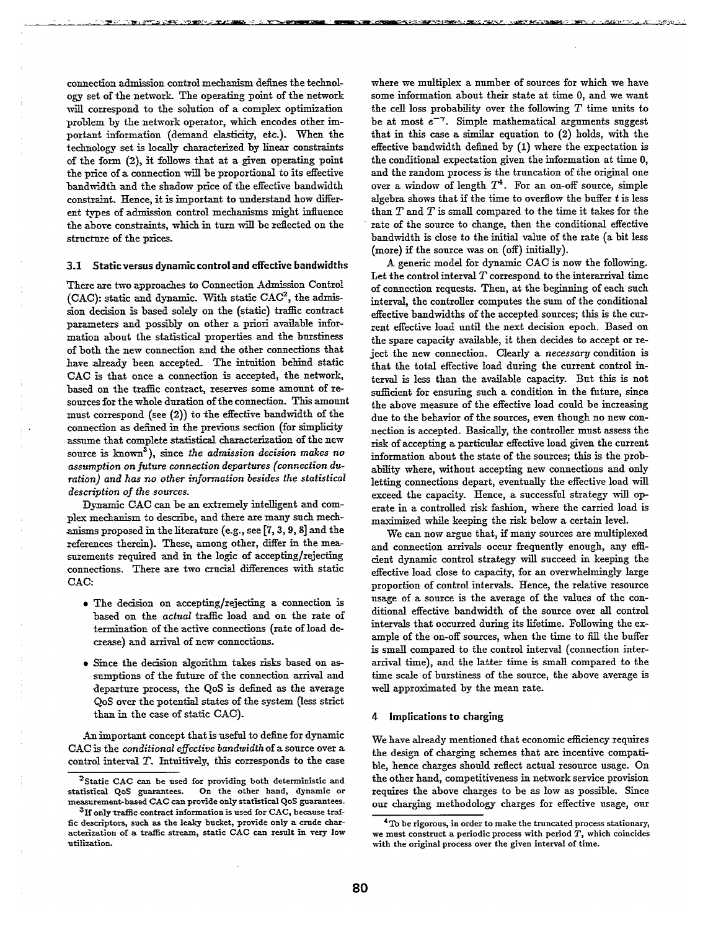connection admission control mechanism defines the technology set of the network. The operating point of the network will correspond to the solution of a complex optimization problem by the network operator, which encodes other important information (demand elasticity, etc.). When the technology set is locally characterized by linear constraints of the form *(2),* it follows that at a given operating point the price of a connection will be proportional to its effective bandwidth and the shadow price of the effective bandwidth constraint. Hence, it is important to understand how diRerent types of admission control mechanisms might influence the above constraints, which in turn will be reflected on the structure of the prices.

#### 3.1 Static versus dynamic control and effective bandwidths

There are two approaches *to Connection* .4dmission Control (CAC): static and dynamic. With static CAC2, the admission decision is based solely on the (static) traffic contract parameters and possibly on other a priori available information about the statistical properties and the burstiness of both the new connection and the other connections that have already been accepted. The intuition behind static CAC is that once a connection is accepted, the network, based on the traffic contract, reserves some amount of resources for the whole duration of the connection. This amount must correspond (see  $(2)$ ) to the effective bandwidth of the connection as deiined in the previous section (for simplicity assume that complete statistical characterization of the new source is known<sup>3</sup>), since the *admission* decision makes no assumption on future connection departures (connection du*ration) and has no other* information besides *the* statistical *description of the sources.*

Dynamic CAC can be an extremely intelligent and complex mechanism to describe, and there are many such mechanisms proposed in the literature (e-g., see [7,3, 9, 8] and the references therein). These, among other, differ in the measurements required and in the logic of accepting/rejecting connections. There are two crucial differences with static *C-4C:*

- The decision on accepting/rejecting a connection is based on the *actual* traffic load and on the rate of termination of the active connections (rate of load decrease) and azrival of new connections.
- Since the decision algorithm takes risks based on assumptions of the future of the connection arrival and departure process, the QoS is defined as the average QoS over the potential states of the system (less strict than in the case of static CAC).

An important concept that is useful to deiine for dynamic CAC is the *wnditional eflective bandwidth*of a source *over a* control interval  $T$ . Intuitively, this corresponds to the case where we multiplex a number of sources for which we have some information about their state at time O, and we want the cell loss probability over the following  $T$  time units to be at most  $e^{-\gamma}$ . Simple mathematical arguments suggest that in this case a similar equation to (2) holds, with the effective bandwidth defined by (1) where the expectation is the conditional expectation given the information at time O, and the random process is the truncation of the original one over a window of length  $T^4$ . For an on-off source, simple algebra shows that if the time to overflow the buffer  $t$  is less than *T* and T is small compared to the time it takes for the rate of the source to change, then the conditional effective bandwidth is close to the initial value of the rate (a bit less (more) if the source was on (off) initially).

A generic model for dynamic CAC is now the following. Let the control interval  $T$  correspond to the interarrival time of connection requests. Then, at the beginning of each such interval, the controller computes the sum of the conditional effective bandwidths of the accepted sources; this is the current effective load until the next decision epoch. Based on the spare capacity available, it then decides to accept or reject the new connection. Clearly a necessary condition is that the total effective load during the current control interval is less than the available capacity. But this is not sufficient for ensuring such a condition in the future, since the above measure of the effective load could be increasing due to the behavior of the sources, even though no new connection is accepted. Basically, the controller must assess the risk of accepting a particular effective load given the current information about the state of the sources; this is the probability where, without accepting new connections and only letting connections depart, eventually the effective load will exceed the capaaty. Hence, a successful strategy will operate in a controlled risk fashion, where the carried load is maximised while keeping the risk below a certain level.

We can now argue that, if many sources are multiplexed and connection arrivals occur frequently enough, any efficient dynamic control strategy will succeed in keeping the effective load close to capacity, for an overwhelmingly large proportion of control intervals. Hence, the relative resource *usage* of a source is the average of the values of the conditional effective bandwidth of the source over all control intervals that occurred during its *lifetime.* Following the example of the on-off sources, when the time to till the buffer is small compared to the control interval (connection interarrival time), and the latter time is small compared to the time scale of burstiness of the source, the above average is well approximated by the mean rate.

#### *4* Implications to charging

We have already mentioned that economic efficiency requires the design of charging schemes that are incentive compatible, hence charges should reflect actual resource usage. On the other hand, competitiveness in network service provision requires the above charges to be as low as possible. Since our charging methodology charges for effective usage, our

<sup>&</sup>lt;sup>2</sup> Static CAC can be used for providing both deterministic and statistical **QoS guarantees. OrI the other hand,** dynamic or measurement-based CAC can provide only statistical QoS guarantees.

<sup>&</sup>lt;sup>3</sup>If only traffic contract information is used for CAC, because traffic descriptors, such as the leaky bucket, provide only a crude characterization of a traffic stream, static CAC can result in very low utilization.

 $4$ To be rigorous, in order to make the truncated process stationary, we must construct a periodic process with period T, which coincides **with the original process over the given interval of time.**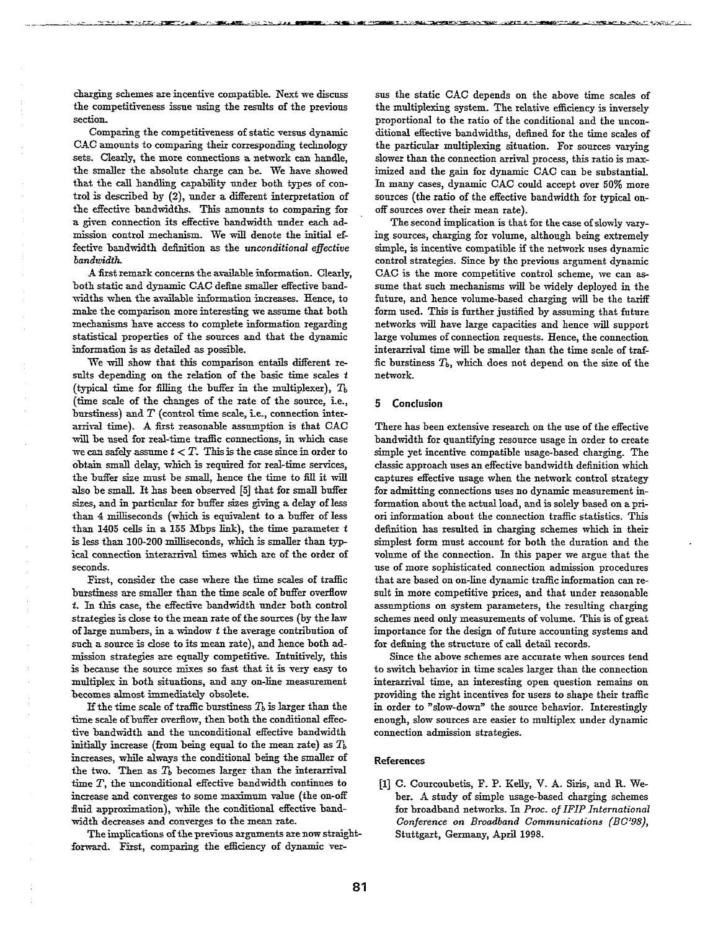charging sdemes are incentive compatible. Next we discuss the competitiveness issue using the results of the previous sectiom

Comparing the competitiveness of *static versus* dynamic CAC amounts to comparing their corresponding technology sets. Clearly, the more connections a network can handle, the smaller the absolute charge can be. We have showed that the call handling capability under both types of control is described by (2), under a diferent interpretation of the effective bandwidths. This amounts to comparing for a given connection its effective bandwidth under each admission control mechanism. We will denote the initial effective bandwidth definition as the *unconditional* eflective *bandwidth.*

A fist remark concerns the available information. Clearly, both static and dynamic CAC define smaller effective bandwidths when the available information increases. Hence, to make the comparison more interesting we assume that both mechanisms have access to complete information regarding statistical properties of the sources and that the dynamic information is as detailed as possible.

We will show that this comparison entails different results depending on the relation of the basic time scales  $t$ (typical time for filling the buffer in the multiplexer),  $T<sub>b</sub>$ (time scale of the changes of the rate of the source, i.e., burstiness) and *T* (control time scale, i.e., connection interarrival time). A first reasonable assumption is that CAC will be used for real-time traffic connections, in which case we can safely assume  $t < T$ . This is the case since in order to obtain small dday, which is required for real-time services, the buffer size must be small, hence the time to fill it will also be small. It has been observed [5] that for small buffer sizes, and in particular for buffer sizes giving a delay of less thaa 4 milliseconds (which is equivalent to a bnfer of less than 1405 cells in a 155 Mbps link), the time parameter  $t$ islessthan*100-200* milliseconds, which is smaller than typical connection interarrival times which are of the order of seconds.

First, consider the case where the time scales of traffic burstiness are smaller than the time scale of bufer overllow t. In this case, the effective bandwidth under both control strategies is close to the mean rate of the sources (by the law of large numbers, in a window  $t$  the average contribution of such *a source is close* to its mean rate), and hence both admission strategies are equally competitive. Intuitively, this is because the source mixes so fast that it is very easy to multiplex in both situations, and any *on-line* measurement becomes almost immediately obsolete.

If the time scale of traffic burstiness  $T_b$  is larger than the time scale of buffer overflow, then both the conditional effective bandwidth and the unconditional efective bandwidth initially increase (from being equal to the mean rate) as  $T<sub>b</sub>$ increases, while always the conditional being the smaller of the two. Then as  $T<sub>b</sub>$  becomes larger than the interarrival time  $T$ , the unconditional effective bandwidth continues to increase and converges to some maximum value (the on-off fluid approximation), while the conditional effective bandwidth decreases and converges to the mean rate.

The implications of the previous arguments are now straightforward. First, comparing the efficiency of dynamic versus the static CAC depends on the above time scales of the multiplexing system. The relative efficiency is inversely proportional to the ratio of the conditional and the unconditional effective bandwidths, defined for the time scales of the particular multiplexing situation. For sources varying slower than the connection arrival process, this ratio is maximized and the gain for dynamic CAC can be substantial. In many cases, dynamic CAC could accept *over 50%* more sources (the ratio of the effective bandwidth for typical onoff sources over their mean rate).

The second implication is that for the case of slowly varying sources, charging for volume, althongh being extremely simple, is incentive compatible if the network uses dynamic control strategies. Since by the previons argnment dynamic CAC is the more competitive control scheme, we can assume that snch mechanisms will be widely deployed in the future, and hence volume-based charging will be the tariff form used. This is further justified by assuming that future networks will have large capacities and hence will snpport large volumes of connection requests. Hence, the connection interarrival time will be smaller than the time scale of traffic burstiness  $T<sub>b</sub>$ , which does not depend on the size of the network.

# 5 Conclusion

There has been extensive research on the nse of the effective bandwidth for quantifying resource nsage in order to create simple yet incentive compatible nsage-based charging. The classic approach uses an effective bandwidth definition which captures effective nsage when the network control strategy for admitting connections uses no dynamic measurement information about the actnal load, and is solely based on a priori information about the connection traffic statistics. This definition has resulted in charging schemes which in their simplest form must account for both the duration and the volume of the connection. In this paper we argue that the use of more sophisticated connection admission procedures that are based on on-line dynamic traffic information can result in more competitive prices, and that under reasonable assumptions on system parameters, the resulting charging schemes need only measurements of volnme. This is of great importance for the design of future accounting systems and for defining the structure of call detail records.

Since the above schemes are accnrate when sources tend to switch behavior in time scales larger than the connection interarrival time, an interesting open question remains on providing the right incentives for users to shape their traffic in order to "slow-down" the source behavior. Interestingly enongh, slow sonrces are easier to multiplex under dynamic connection admission strategies.

# References

[1] C. Courcoubetis, F. P. Kelly, V. A. Siris, and R. Weber. A study of simple usage-based charging schemes for broadband networks. In *Proc. of IFIP International Conference on Broadband Communications (BC'98),* Stuttgart, Germany, April 1998.